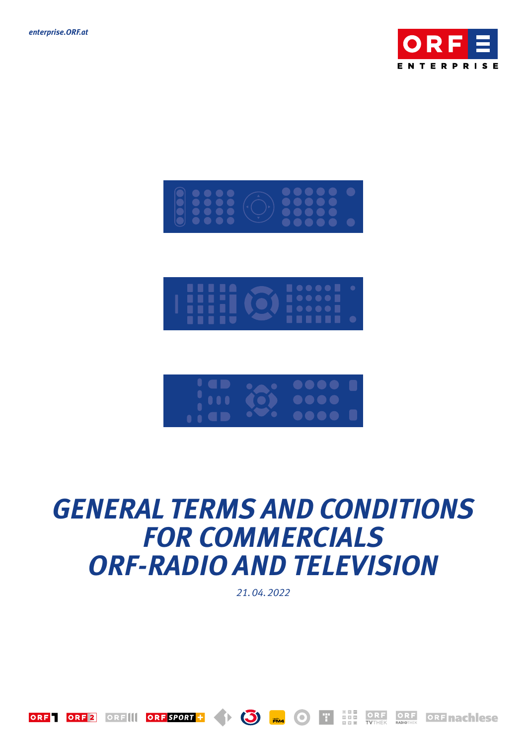







# *GENERAL TERMS AND CONDITIONS FOR COMMERCIALS ORF-RADIO AND TELEVISION*

*21. 04. 2022*

 $\bigcirc$   $\bigcirc$ 

ORF ORF 2 ORF II ORF SPORT +

F.

 $\bigcirc$ 

ORF

ORF ORF nach ese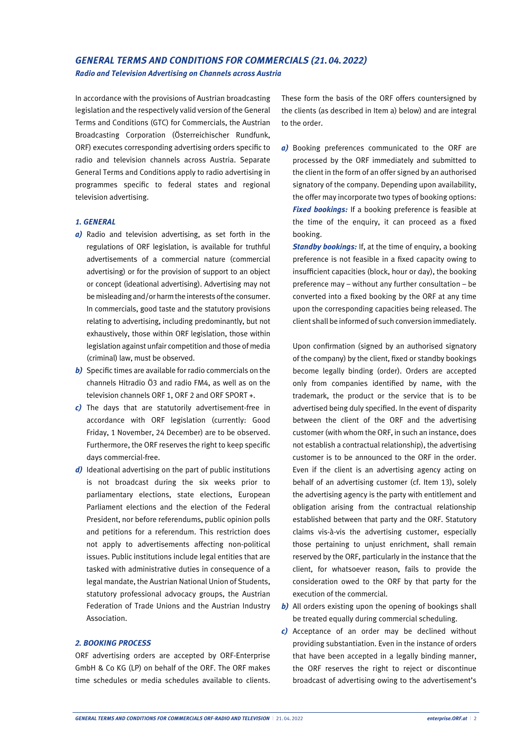## *GENERAL TERMS AND CONDITIONS FOR COMMERCIALS (21.04.2022)*

*Radio and Television Advertising on Channels across Austria*

In accordance with the provisions of Austrian broadcasting legislation and the respectively valid version of the General Terms and Conditions (GTC) for Commercials, the Austrian Broadcasting Corporation (Österreichischer Rundfunk, ORF) executes corresponding advertising orders specific to radio and television channels across Austria. Separate General Terms and Conditions apply to radio advertising in programmes specific to federal states and regional television advertising.

#### *1. GENERAL*

- *a)* Radio and television advertising, as set forth in the regulations of ORF legislation, is available for truthful advertisements of a commercial nature (commercial advertising) or for the provision of support to an object or concept (ideational advertising). Advertising may not be misleading and/or harm the interests of the consumer. In commercials, good taste and the statutory provisions relating to advertising, including predominantly, but not exhaustively, those within ORF legislation, those within legislation against unfair competition and those of media (criminal) law, must be observed.
- *b*) Specific times are available for radio commercials on the channels Hitradio Ö3 and radio FM4, as well as on the television channels ORF 1, ORF 2 and ORF SPORT +.
- *c)* The days that are statutorily advertisement-free in accordance with ORF legislation (currently: Good Friday, 1 November, 24 December) are to be observed. Furthermore, the ORF reserves the right to keep specific days commercial-free.
- *d)* Ideational advertising on the part of public institutions is not broadcast during the six weeks prior to parliamentary elections, state elections, European Parliament elections and the election of the Federal President, nor before referendums, public opinion polls and petitions for a referendum. This restriction does not apply to advertisements affecting non-political issues. Public institutions include legal entities that are tasked with administrative duties in consequence of a legal mandate, the Austrian National Union of Students, statutory professional advocacy groups, the Austrian Federation of Trade Unions and the Austrian Industry Association.

#### *2. BOOKING PROCESS*

ORF advertising orders are accepted by ORF-Enterprise GmbH & Co KG (LP) on behalf of the ORF. The ORF makes time schedules or media schedules available to clients.

These form the basis of the ORF offers countersigned by the clients (as described in Item a) below) and are integral to the order.

*a)* Booking preferences communicated to the ORF are processed by the ORF immediately and submitted to the client in the form of an offer signed by an authorised signatory of the company. Depending upon availability, the offer may incorporate two types of booking options: *Fixed bookings:* If a booking preference is feasible at the time of the enquiry, it can proceed as a fixed booking.

*Standby bookings:* If, at the time of enquiry, a booking preference is not feasible in a fixed capacity owing to insufficient capacities (block, hour or day), the booking preference may – without any further consultation – be converted into a fixed booking by the ORF at any time upon the corresponding capacities being released. The client shall be informed of such conversion immediately.

Upon confirmation (signed by an authorised signatory of the company) by the client, fixed or standby bookings become legally binding (order). Orders are accepted only from companies identified by name, with the trademark, the product or the service that is to be advertised being duly specified. In the event of disparity between the client of the ORF and the advertising customer (with whom the ORF, in such an instance, does not establish a contractual relationship), the advertising customer is to be announced to the ORF in the order. Even if the client is an advertising agency acting on behalf of an advertising customer (cf. Item 13), solely the advertising agency is the party with entitlement and obligation arising from the contractual relationship established between that party and the ORF. Statutory claims vis-à-vis the advertising customer, especially those pertaining to unjust enrichment, shall remain reserved by the ORF, particularly in the instance that the client, for whatsoever reason, fails to provide the consideration owed to the ORF by that party for the execution of the commercial.

- *b)* All orders existing upon the opening of bookings shall be treated equally during commercial scheduling.
- *c)* Acceptance of an order may be declined without providing substantiation. Even in the instance of orders that have been accepted in a legally binding manner, the ORF reserves the right to reject or discontinue broadcast of advertising owing to the advertisement's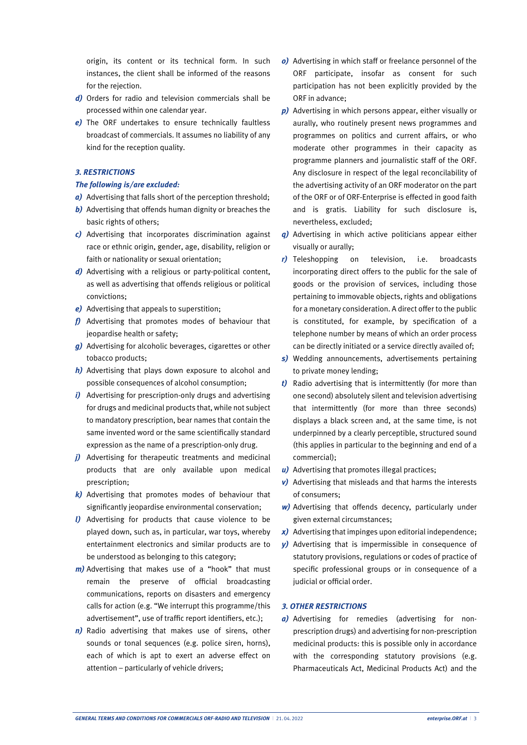origin, its content or its technical form. In such instances, the client shall be informed of the reasons for the rejection.

- *d)* Orders for radio and television commercials shall be processed within one calendar year.
- *e)* The ORF undertakes to ensure technically faultless broadcast of commercials. It assumes no liability of any kind for the reception quality.

#### *3. RESTRICTIONS*

#### *The following is/are excluded:*

- *a)* Advertising that falls short of the perception threshold;
- *b)* Advertising that offends human dignity or breaches the basic rights of others;
- *c)* Advertising that incorporates discrimination against race or ethnic origin, gender, age, disability, religion or faith or nationality or sexual orientation;
- *d)* Advertising with a religious or party-political content, as well as advertising that offends religious or political convictions;
- *e)* Advertising that appeals to superstition;
- *f)* Advertising that promotes modes of behaviour that jeopardise health or safety;
- *g)* Advertising for alcoholic beverages, cigarettes or other tobacco products;
- *h)* Advertising that plays down exposure to alcohol and possible consequences of alcohol consumption;
- *i*) Advertising for prescription-only drugs and advertising for drugs and medicinal products that, while not subject to mandatory prescription, bear names that contain the same invented word or the same scientifically standard expression as the name of a prescription-only drug.
- *j)* Advertising for therapeutic treatments and medicinal products that are only available upon medical prescription;
- *k)* Advertising that promotes modes of behaviour that significantly jeopardise environmental conservation;
- *l)* Advertising for products that cause violence to be played down, such as, in particular, war toys, whereby entertainment electronics and similar products are to be understood as belonging to this category;
- *m)* Advertising that makes use of a "hook" that must remain the preserve of official broadcasting communications, reports on disasters and emergency calls for action (e.g. "We interrupt this programme/this advertisement", use of traffic report identifiers, etc.);
- *n)* Radio advertising that makes use of sirens, other sounds or tonal sequences (e.g. police siren, horns), each of which is apt to exert an adverse effect on attention – particularly of vehicle drivers;
- *o)* Advertising in which staff or freelance personnel of the ORF participate, insofar as consent for such participation has not been explicitly provided by the ORF in advance;
- *p)* Advertising in which persons appear, either visually or aurally, who routinely present news programmes and programmes on politics and current affairs, or who moderate other programmes in their capacity as programme planners and journalistic staff of the ORF. Any disclosure in respect of the legal reconcilability of the advertising activity of an ORF moderator on the part of the ORF or of ORF-Enterprise is effected in good faith and is gratis. Liability for such disclosure is, nevertheless, excluded;
- *q)* Advertising in which active politicians appear either visually or aurally;
- *r)* Teleshopping on television, i.e. broadcasts incorporating direct offers to the public for the sale of goods or the provision of services, including those pertaining to immovable objects, rights and obligations for a monetary consideration. A direct offer to the public is constituted, for example, by specification of a telephone number by means of which an order process can be directly initiated or a service directly availed of;
- *s)* Wedding announcements, advertisements pertaining to private money lending;
- *t)* Radio advertising that is intermittently (for more than one second) absolutely silent and television advertising that intermittently (for more than three seconds) displays a black screen and, at the same time, is not underpinned by a clearly perceptible, structured sound (this applies in particular to the beginning and end of a commercial);
- *u)* Advertising that promotes illegal practices;
- *v)* Advertising that misleads and that harms the interests of consumers;
- *w)* Advertising that offends decency, particularly under given external circumstances;
- *x)* Advertising that impinges upon editorial independence;
- *y)* Advertising that is impermissible in consequence of statutory provisions, regulations or codes of practice of specific professional groups or in consequence of a judicial or official order.

#### *3. OTHER RESTRICTIONS*

*a)* Advertising for remedies (advertising for nonprescription drugs) and advertising for non-prescription medicinal products: this is possible only in accordance with the corresponding statutory provisions (e.g. Pharmaceuticals Act, Medicinal Products Act) and the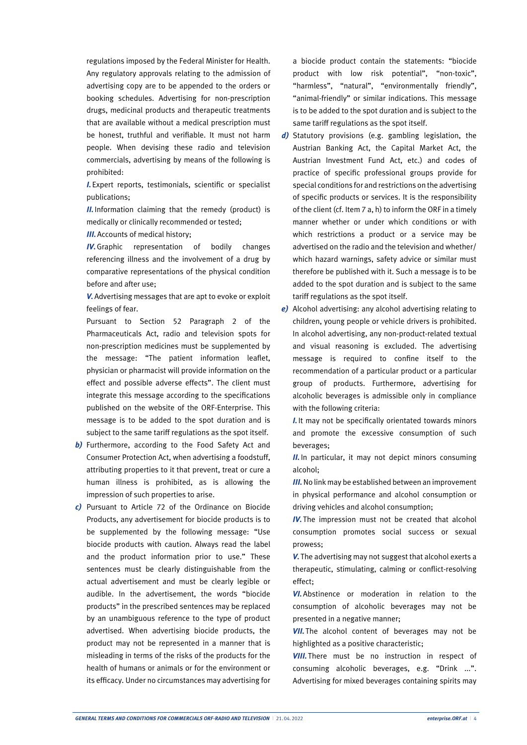regulations imposed by the Federal Minister for Health. Any regulatory approvals relating to the admission of advertising copy are to be appended to the orders or booking schedules. Advertising for non-prescription drugs, medicinal products and therapeutic treatments that are available without a medical prescription must be honest, truthful and verifiable. It must not harm people. When devising these radio and television commercials, advertising by means of the following is prohibited:

*I.*Expert reports, testimonials, scientific or specialist publications;

*II.* Information claiming that the remedy (product) is medically or clinically recommended or tested;

*III.* Accounts of medical history:

**IV.** Graphic representation of bodily changes referencing illness and the involvement of a drug by comparative representations of the physical condition before and after use;

*V.*Advertising messages that are apt to evoke or exploit feelings of fear.

Pursuant to Section 52 Paragraph 2 of the Pharmaceuticals Act, radio and television spots for non-prescription medicines must be supplemented by the message: "The patient information leaflet, physician or pharmacist will provide information on the effect and possible adverse effects". The client must integrate this message according to the specifications published on the website of the ORF-Enterprise. This message is to be added to the spot duration and is subject to the same tariff regulations as the spot itself.

- **b**) Furthermore, according to the Food Safety Act and Consumer Protection Act, when advertising a foodstuff, attributing properties to it that prevent, treat or cure a human illness is prohibited, as is allowing the impression of such properties to arise.
- *c)* Pursuant to Article 72 of the Ordinance on Biocide Products, any advertisement for biocide products is to be supplemented by the following message: "Use biocide products with caution. Always read the label and the product information prior to use." These sentences must be clearly distinguishable from the actual advertisement and must be clearly legible or audible. In the advertisement, the words "biocide products" in the prescribed sentences may be replaced by an unambiguous reference to the type of product advertised. When advertising biocide products, the product may not be represented in a manner that is misleading in terms of the risks of the products for the health of humans or animals or for the environment or its efficacy. Under no circumstances may advertising for

a biocide product contain the statements: "biocide product with low risk potential", "non-toxic", "harmless", "natural", "environmentally friendly", "animal-friendly" or similar indications. This message is to be added to the spot duration and is subject to the same tariff regulations as the spot itself.

- *d)* Statutory provisions (e.g. gambling legislation, the Austrian Banking Act, the Capital Market Act, the Austrian Investment Fund Act, etc.) and codes of practice of specific professional groups provide for special conditions for and restrictions on the advertising of specific products or services. It is the responsibility of the client (cf. Item 7 a, h) to inform the ORF in a timely manner whether or under which conditions or with which restrictions a product or a service may be advertised on the radio and the television and whether/ which hazard warnings, safety advice or similar must therefore be published with it. Such a message is to be added to the spot duration and is subject to the same tariff regulations as the spot itself.
- *e)* Alcohol advertising: any alcohol advertising relating to children, young people or vehicle drivers is prohibited. In alcohol advertising, any non-product-related textual and visual reasoning is excluded. The advertising message is required to confine itself to the recommendation of a particular product or a particular group of products. Furthermore, advertising for alcoholic beverages is admissible only in compliance with the following criteria:

*I.*It may not be specifically orientated towards minors and promote the excessive consumption of such beverages;

*II.* In particular, it may not depict minors consuming alcohol;

*III.* No link may be established between an improvement in physical performance and alcohol consumption or driving vehicles and alcohol consumption;

**IV.** The impression must not be created that alcohol consumption promotes social success or sexual prowess;

*V.* The advertising may not suggest that alcohol exerts a therapeutic, stimulating, calming or conflict-resolving effect;

**VI.** Abstinence or moderation in relation to the consumption of alcoholic beverages may not be presented in a negative manner;

**VII.** The alcohol content of beverages may not be highlighted as a positive characteristic;

**VIII.** There must be no instruction in respect of consuming alcoholic beverages, e.g. "Drink ...". Advertising for mixed beverages containing spirits may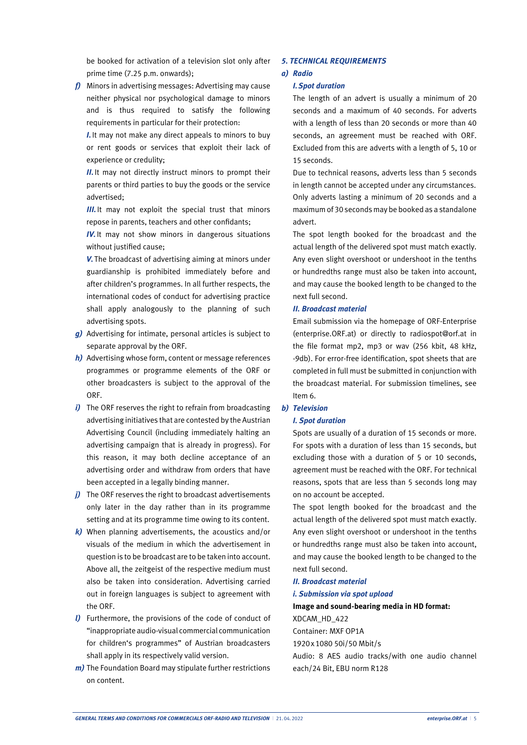be booked for activation of a television slot only after prime time (7.25 p.m. onwards);

*f)* Minors in advertising messages: Advertising may cause neither physical nor psychological damage to minors and is thus required to satisfy the following requirements in particular for their protection:

*I.*It may not make any direct appeals to minors to buy or rent goods or services that exploit their lack of experience or credulity;

*II.* It may not directly instruct minors to prompt their parents or third parties to buy the goods or the service advertised;

*III.* It may not exploit the special trust that minors repose in parents, teachers and other confidants;

*IV.It may not show minors in dangerous situations* without justified cause;

*V.* The broadcast of advertising aiming at minors under guardianship is prohibited immediately before and after children's programmes. In all further respects, the international codes of conduct for advertising practice shall apply analogously to the planning of such advertising spots.

- *g)* Advertising for intimate, personal articles is subject to separate approval by the ORF.
- *h)* Advertising whose form, content or message references programmes or programme elements of the ORF or other broadcasters is subject to the approval of the ORF.
- *i*) The ORF reserves the right to refrain from broadcasting advertising initiatives that are contested by the Austrian Advertising Council (including immediately halting an advertising campaign that is already in progress). For this reason, it may both decline acceptance of an advertising order and withdraw from orders that have been accepted in a legally binding manner.
- *j*) The ORF reserves the right to broadcast advertisements only later in the day rather than in its programme setting and at its programme time owing to its content.
- *k)* When planning advertisements, the acoustics and/or visuals of the medium in which the advertisement in question is to be broadcast are to be taken into account. Above all, the zeitgeist of the respective medium must also be taken into consideration. Advertising carried out in foreign languages is subject to agreement with the ORF.
- *l)* Furthermore, the provisions of the code of conduct of "inappropriate audio-visual commercial communication for children's programmes" of Austrian broadcasters shall apply in its respectively valid version.
- *m)* The Foundation Board may stipulate further restrictions on content.

#### *5. TECHNICAL REQUIREMENTS*

#### *a) Radio*

#### *I.Spot duration*

The length of an advert is usually a minimum of 20 seconds and a maximum of 40 seconds. For adverts with a length of less than 20 seconds or more than 40 seconds, an agreement must be reached with ORF. Excluded from this are adverts with a length of 5, 10 or 15 seconds.

Due to technical reasons, adverts less than 5 seconds in length cannot be accepted under any circumstances. Only adverts lasting a minimum of 20 seconds and a maximum of 30 seconds may be booked as a standalone advert.

The spot length booked for the broadcast and the actual length of the delivered spot must match exactly. Any even slight overshoot or undershoot in the tenths or hundredths range must also be taken into account, and may cause the booked length to be changed to the next full second.

#### *II. Broadcast material*

Email submission via the homepage of ORF-Enterprise (enterprise.ORF.at) or directly to radiospot@orf.at in the file format mp2, mp3 or wav (256 kbit, 48 kHz, -9db). For error-free identification, spot sheets that are completed in full must be submitted in conjunction with the broadcast material. For submission timelines, see Item 6.

#### *b) Television*

#### *I. Spot duration*

Spots are usually of a duration of 15 seconds or more. For spots with a duration of less than 15 seconds, but excluding those with a duration of 5 or 10 seconds, agreement must be reached with the ORF. For technical reasons, spots that are less than 5 seconds long may on no account be accepted.

The spot length booked for the broadcast and the actual length of the delivered spot must match exactly. Any even slight overshoot or undershoot in the tenths or hundredths range must also be taken into account, and may cause the booked length to be changed to the next full second.

#### *II. Broadcast material*

#### *i. Submission via spot upload*

### **Image and sound-bearing media in HD format:**

XDCAM\_HD\_422

Container: MXF OP1A

1920x1080 50i/50 Mbit/s

Audio: 8 AES audio tracks/with one audio channel each/24 Bit, EBU norm R128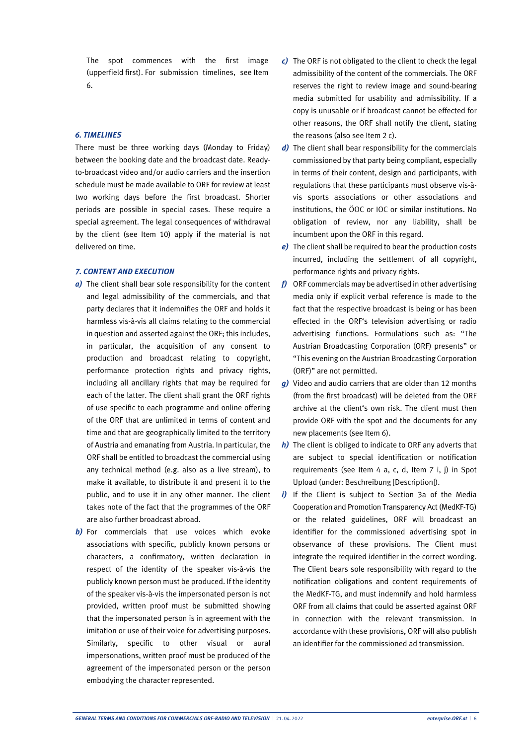The spot commences with the first image (upperfield first). For submission timelines, see Item 6.

#### *6. TIMELINES*

There must be three working days (Monday to Friday) between the booking date and the broadcast date. Readyto-broadcast video and/or audio carriers and the insertion schedule must be made available to ORF for review at least two working days before the first broadcast. Shorter periods are possible in special cases. These require a special agreement. The legal consequences of withdrawal by the client (see Item 10) apply if the material is not delivered on time.

#### *7. CONTENT AND EXECUTION*

- *a)* The client shall bear sole responsibility for the content and legal admissibility of the commercials, and that party declares that it indemnifies the ORF and holds it harmless vis-à-vis all claims relating to the commercial in question and asserted against the ORF; this includes, in particular, the acquisition of any consent to production and broadcast relating to copyright, performance protection rights and privacy rights, including all ancillary rights that may be required for each of the latter. The client shall grant the ORF rights of use specific to each programme and online offering of the ORF that are unlimited in terms of content and time and that are geographically limited to the territory of Austria and emanating from Austria. In particular, the ORF shall be entitled to broadcast the commercial using any technical method (e.g. also as a live stream), to make it available, to distribute it and present it to the public, and to use it in any other manner. The client takes note of the fact that the programmes of the ORF are also further broadcast abroad.
- **b**) For commercials that use voices which evoke associations with specific, publicly known persons or characters, a confirmatory, written declaration in respect of the identity of the speaker vis-à-vis the publicly known person must be produced. If the identity of the speaker vis-à-vis the impersonated person is not provided, written proof must be submitted showing that the impersonated person is in agreement with the imitation or use of their voice for advertising purposes. Similarly, specific to other visual or aural impersonations, written proof must be produced of the agreement of the impersonated person or the person embodying the character represented.
- *c)* The ORF is not obligated to the client to check the legal admissibility of the content of the commercials. The ORF reserves the right to review image and sound-bearing media submitted for usability and admissibility. If a copy is unusable or if broadcast cannot be effected for other reasons, the ORF shall notify the client, stating the reasons (also see Item 2 c).
- d) The client shall bear responsibility for the commercials commissioned by that party being compliant, especially in terms of their content, design and participants, with regulations that these participants must observe vis-àvis sports associations or other associations and institutions, the ÖOC or IOC or similar institutions. No obligation of review, nor any liability, shall be incumbent upon the ORF in this regard.
- *e)* The client shall be required to bear the production costs incurred, including the settlement of all copyright, performance rights and privacy rights.
- *f)* ORF commercials may be advertised in other advertising media only if explicit verbal reference is made to the fact that the respective broadcast is being or has been effected in the ORF's television advertising or radio advertising functions. Formulations such as: "The Austrian Broadcasting Corporation (ORF) presents" or "This evening on the Austrian Broadcasting Corporation (ORF)" are not permitted.
- *g)* Video and audio carriers that are older than 12 months (from the first broadcast) will be deleted from the ORF archive at the client's own risk. The client must then provide ORF with the spot and the documents for any new placements (see Item 6).
- *h)* The client is obliged to indicate to ORF any adverts that are subject to special identification or notification requirements (see Item 4 a, c, d, Item 7 i, j) in Spot Upload (under: Beschreibung [Description]).
- *i*) If the Client is subject to Section 3a of the Media Cooperation and Promotion Transparency Act (MedKF-TG) or the related guidelines, ORF will broadcast an identifier for the commissioned advertising spot in observance of these provisions. The Client must integrate the required identifier in the correct wording. The Client bears sole responsibility with regard to the notification obligations and content requirements of the MedKF-TG, and must indemnify and hold harmless ORF from all claims that could be asserted against ORF in connection with the relevant transmission. In accordance with these provisions, ORF will also publish an identifier for the commissioned ad transmission.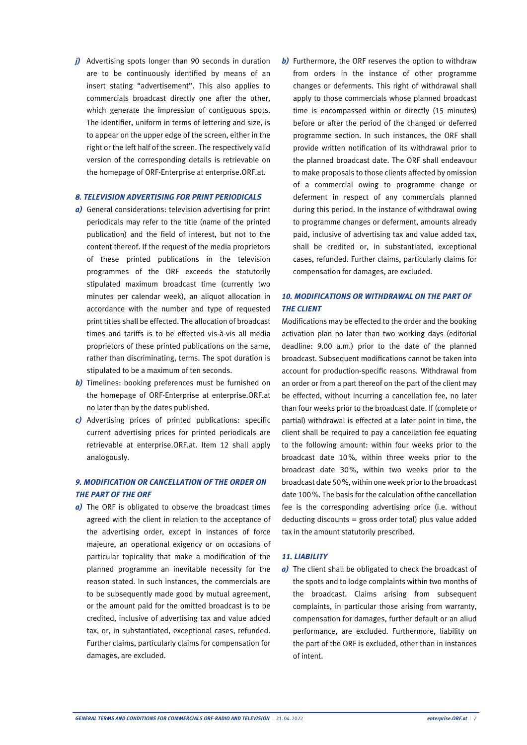*j)* Advertising spots longer than 90 seconds in duration are to be continuously identified by means of an insert stating "advertisement". This also applies to commercials broadcast directly one after the other, which generate the impression of contiguous spots. The identifier, uniform in terms of lettering and size, is to appear on the upper edge of the screen, either in the right or the left half of the screen. The respectively valid version of the corresponding details is retrievable on the homepage of ORF-Enterprise at enterprise.ORF.at.

#### *8. TELEVISION ADVERTISING FOR PRINT PERIODICALS*

- *a)* General considerations: television advertising for print periodicals may refer to the title (name of the printed publication) and the field of interest, but not to the content thereof. If the request of the media proprietors of these printed publications in the television programmes of the ORF exceeds the statutorily stipulated maximum broadcast time (currently two minutes per calendar week), an aliquot allocation in accordance with the number and type of requested print titles shall be effected. The allocation of broadcast times and tariffs is to be effected vis-à-vis all media proprietors of these printed publications on the same, rather than discriminating, terms. The spot duration is stipulated to be a maximum of ten seconds.
- **b**) Timelines: booking preferences must be furnished on the homepage of ORF-Enterprise at enterprise.ORF.at no later than by the dates published.
- *c)* Advertising prices of printed publications: specific current advertising prices for printed periodicals are retrievable at enterprise.ORF.at. Item 12 shall apply analogously.

#### *9. MODIFICATION OR CANCELLATION OF THE ORDER ON THE PART OF THE ORF*

*a)* The ORF is obligated to observe the broadcast times agreed with the client in relation to the acceptance of the advertising order, except in instances of force majeure, an operational exigency or on occasions of particular topicality that make a modification of the planned programme an inevitable necessity for the reason stated. In such instances, the commercials are to be subsequently made good by mutual agreement, or the amount paid for the omitted broadcast is to be credited, inclusive of advertising tax and value added tax, or, in substantiated, exceptional cases, refunded. Further claims, particularly claims for compensation for damages, are excluded.

*b)* Furthermore, the ORF reserves the option to withdraw from orders in the instance of other programme changes or deferments. This right of withdrawal shall apply to those commercials whose planned broadcast time is encompassed within or directly (15 minutes) before or after the period of the changed or deferred programme section. In such instances, the ORF shall provide written notification of its withdrawal prior to the planned broadcast date. The ORF shall endeavour to make proposals to those clients affected by omission of a commercial owing to programme change or deferment in respect of any commercials planned during this period. In the instance of withdrawal owing to programme changes or deferment, amounts already paid, inclusive of advertising tax and value added tax, shall be credited or, in substantiated, exceptional cases, refunded. Further claims, particularly claims for compensation for damages, are excluded.

#### *10. MODIFICATIONS OR WITHDRAWAL ON THE PART OF THE CLIENT*

Modifications may be effected to the order and the booking activation plan no later than two working days (editorial deadline: 9.00 a.m.) prior to the date of the planned broadcast. Subsequent modifications cannot be taken into account for production-specific reasons. Withdrawal from an order or from a part thereof on the part of the client may be effected, without incurring a cancellation fee, no later than four weeks prior to the broadcast date. If (complete or partial) withdrawal is effected at a later point in time, the client shall be required to pay a cancellation fee equating to the following amount: within four weeks prior to the broadcast date 10%, within three weeks prior to the broadcast date 30%, within two weeks prior to the broadcast date 50%,within oneweek priorto the broadcast date 100%. The basis for the calculation of the cancellation fee is the corresponding advertising price (i.e. without deducting discounts = gross order total) plus value added tax in the amount statutorily prescribed.

#### *11. LIABILITY*

*a)* The client shall be obligated to check the broadcast of the spots and to lodge complaints within two months of the broadcast. Claims arising from subsequent complaints, in particular those arising from warranty, compensation for damages, further default or an aliud performance, are excluded. Furthermore, liability on the part of the ORF is excluded, other than in instances of intent.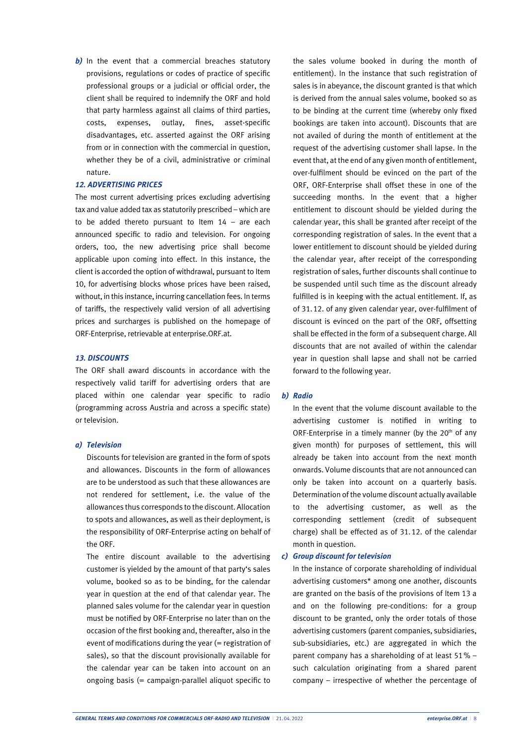**b**) In the event that a commercial breaches statutory provisions, regulations or codes of practice of specific professional groups or a judicial or official order, the client shall be required to indemnify the ORF and hold that party harmless against all claims of third parties, costs, expenses, outlay, fines, asset-specific disadvantages, etc. asserted against the ORF arising from or in connection with the commercial in question, whether they be of a civil, administrative or criminal nature.

#### *12. ADVERTISING PRICES*

The most current advertising prices excluding advertising tax and value added tax as statutorily prescribed – which are to be added thereto pursuant to Item 14 – are each announced specific to radio and television. For ongoing orders, too, the new advertising price shall become applicable upon coming into effect. In this instance, the client is accorded the option of withdrawal, pursuant to Item 10, for advertising blocks whose prices have been raised, without, in this instance, incurring cancellation fees. In terms of tariffs, the respectively valid version of all advertising prices and surcharges is published on the homepage of ORF-Enterprise, retrievable at enterprise.ORF.at.

#### *13. DISCOUNTS*

The ORF shall award discounts in accordance with the respectively valid tariff for advertising orders that are placed within one calendar year specific to radio (programming across Austria and across a specific state) or television.

#### *a) Television*

Discounts for television are granted in the form of spots and allowances. Discounts in the form of allowances are to be understood as such that these allowances are not rendered for settlement, i.e. the value of the allowances thus corresponds to the discount. Allocation to spots and allowances, as well as their deployment, is the responsibility of ORF-Enterprise acting on behalf of the ORF.

The entire discount available to the advertising customer is yielded by the amount of that party's sales volume, booked so as to be binding, for the calendar year in question at the end of that calendar year. The planned sales volume for the calendar year in question must be notified by ORF-Enterprise no later than on the occasion of the first booking and, thereafter, also in the event of modifications during the year (= registration of sales), so that the discount provisionally available for the calendar year can be taken into account on an ongoing basis (= campaign-parallel aliquot specific to

the sales volume booked in during the month of entitlement). In the instance that such registration of sales is in abeyance, the discount granted is that which is derived from the annual sales volume, booked so as to be binding at the current time (whereby only fixed bookings are taken into account). Discounts that are not availed of during the month of entitlement at the request of the advertising customer shall lapse. In the event that, at the end of any given month of entitlement, over-fulfilment should be evinced on the part of the ORF, ORF-Enterprise shall offset these in one of the succeeding months. In the event that a higher entitlement to discount should be yielded during the calendar year, this shall be granted after receipt of the corresponding registration of sales. In the event that a lower entitlement to discount should be yielded during the calendar year, after receipt of the corresponding registration of sales, further discounts shall continue to be suspended until such time as the discount already fulfilled is in keeping with the actual entitlement. If, as of 31.12. of any given calendar year, over-fulfilment of discount is evinced on the part of the ORF, offsetting shall be effected in the form of a subsequent charge. All discounts that are not availed of within the calendar year in question shall lapse and shall not be carried forward to the following year.

#### *b) Radio*

In the event that the volume discount available to the advertising customer is notified in writing to ORF-Enterprise in a timely manner (by the  $20<sup>th</sup>$  of any given month) for purposes of settlement, this will already be taken into account from the next month onwards. Volume discounts that are not announced can only be taken into account on a quarterly basis. Determination of the volume discount actually available to the advertising customer, as well as the corresponding settlement (credit of subsequent charge) shall be effected as of 31.12. of the calendar month in question.

#### *c) Group discount for television*

In the instance of corporate shareholding of individual advertising customers\* among one another, discounts are granted on the basis of the provisions of Item 13 a and on the following pre-conditions: for a group discount to be granted, only the order totals of those advertising customers (parent companies, subsidiaries, sub-subsidiaries, etc.) are aggregated in which the parent company has a shareholding of at least 51% – such calculation originating from a shared parent company – irrespective of whether the percentage of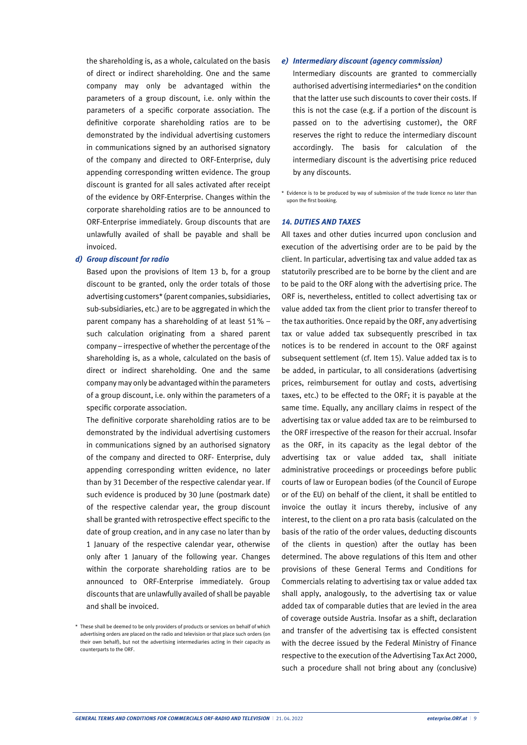the shareholding is, as a whole, calculated on the basis of direct or indirect shareholding. One and the same company may only be advantaged within the parameters of a group discount, i.e. only within the parameters of a specific corporate association. The definitive corporate shareholding ratios are to be demonstrated by the individual advertising customers in communications signed by an authorised signatory of the company and directed to ORF-Enterprise, duly appending corresponding written evidence. The group discount is granted for all sales activated after receipt of the evidence by ORF-Enterprise. Changes within the corporate shareholding ratios are to be announced to ORF-Enterprise immediately. Group discounts that are unlawfully availed of shall be payable and shall be invoiced.

#### *d) Group discount for radio*

Based upon the provisions of Item 13 b, for a group discount to be granted, only the order totals of those advertising customers\* (parent companies, subsidiaries, sub-subsidiaries, etc.) are to be aggregated in which the parent company has a shareholding of at least 51% – such calculation originating from a shared parent company – irrespective of whether the percentage of the shareholding is, as a whole, calculated on the basis of direct or indirect shareholding. One and the same company may only be advantagedwithin the parameters of a group discount, i.e. only within the parameters of a specific corporate association.

The definitive corporate shareholding ratios are to be demonstrated by the individual advertising customers in communications signed by an authorised signatory of the company and directed to ORF- Enterprise, duly appending corresponding written evidence, no later than by 31 December of the respective calendar year. If such evidence is produced by 30 June (postmark date) of the respective calendar year, the group discount shall be granted with retrospective effect specific to the date of group creation, and in any case no later than by 1 January of the respective calendar year, otherwise only after 1 January of the following year. Changes within the corporate shareholding ratios are to be announced to ORF-Enterprise immediately. Group discounts that are unlawfully availed of shall be payable and shall be invoiced.

#### *e) Intermediary discount (agency commission)*

Intermediary discounts are granted to commercially authorised advertising intermediaries\* on the condition that the latter use such discounts to cover their costs. If this is not the case (e.g. if a portion of the discount is passed on to the advertising customer), the ORF reserves the right to reduce the intermediary discount accordingly. The basis for calculation of the intermediary discount is the advertising price reduced by any discounts.

\* Evidence is to be produced by way of submission of the trade licence no later than upon the first booking.

#### *14. DUTIES AND TAXES*

All taxes and other duties incurred upon conclusion and execution of the advertising order are to be paid by the client. In particular, advertising tax and value added tax as statutorily prescribed are to be borne by the client and are to be paid to the ORF along with the advertising price. The ORF is, nevertheless, entitled to collect advertising tax or value added tax from the client prior to transfer thereof to the tax authorities. Once repaid by the ORF, any advertising tax or value added tax subsequently prescribed in tax notices is to be rendered in account to the ORF against subsequent settlement (cf. Item 15). Value added tax is to be added, in particular, to all considerations (advertising prices, reimbursement for outlay and costs, advertising taxes, etc.) to be effected to the ORF; it is payable at the same time. Equally, any ancillary claims in respect of the advertising tax or value added tax are to be reimbursed to the ORF irrespective of the reason for their accrual. Insofar as the ORF, in its capacity as the legal debtor of the advertising tax or value added tax, shall initiate administrative proceedings or proceedings before public courts of law or European bodies (of the Council of Europe or of the EU) on behalf of the client, it shall be entitled to invoice the outlay it incurs thereby, inclusive of any interest, to the client on a pro rata basis (calculated on the basis of the ratio of the order values, deducting discounts of the clients in question) after the outlay has been determined. The above regulations of this Item and other provisions of these General Terms and Conditions for Commercials relating to advertising tax or value added tax shall apply, analogously, to the advertising tax or value added tax of comparable duties that are levied in the area of coverage outside Austria. Insofar as a shift, declaration and transfer of the advertising tax is effected consistent with the decree issued by the Federal Ministry of Finance respective to the execution of the Advertising Tax Act 2000, such a procedure shall not bring about any (conclusive)

<sup>\*</sup> These shall be deemed to be only providers of products or services on behalf of which advertising orders are placed on the radio and television or that place such orders (on their own behalf), but not the advertising intermediaries acting in their capacity as counterparts to the ORF.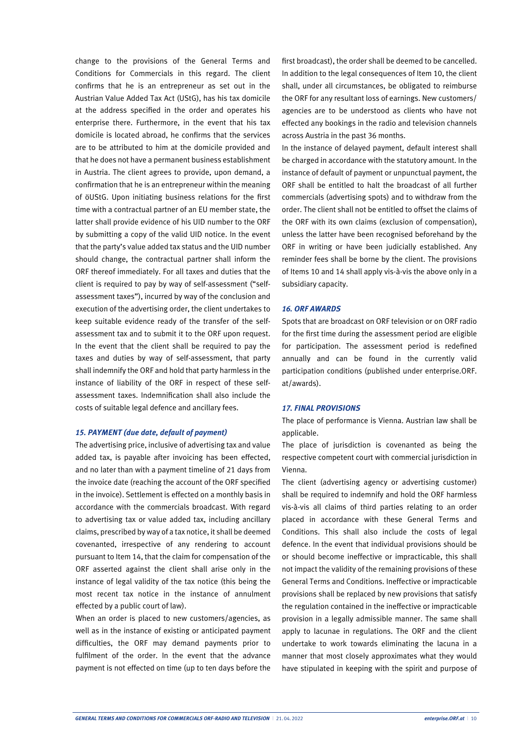change to the provisions of the General Terms and Conditions for Commercials in this regard. The client confirms that he is an entrepreneur as set out in the Austrian Value Added Tax Act (UStG), has his tax domicile at the address specified in the order and operates his enterprise there. Furthermore, in the event that his tax domicile is located abroad, he confirms that the services are to be attributed to him at the domicile provided and that he does not have a permanent business establishment in Austria. The client agrees to provide, upon demand, a confirmation that he is an entrepreneur within the meaning of öUStG. Upon initiating business relations for the first time with a contractual partner of an EU member state, the latter shall provide evidence of his UID number to the ORF by submitting a copy of the valid UID notice. In the event that the party's value added tax status and the UID number should change, the contractual partner shall inform the ORF thereof immediately. For all taxes and duties that the client is required to pay by way of self-assessment ("selfassessment taxes"), incurred by way of the conclusion and execution of the advertising order, the client undertakes to keep suitable evidence ready of the transfer of the selfassessment tax and to submit it to the ORF upon request. In the event that the client shall be required to pay the taxes and duties by way of self-assessment, that party shall indemnify the ORF and hold that party harmless in the instance of liability of the ORF in respect of these selfassessment taxes. Indemnification shall also include the costs of suitable legal defence and ancillary fees.

#### *15. PAYMENT (due date, default of payment)*

The advertising price, inclusive of advertising tax and value added tax, is payable after invoicing has been effected, and no later than with a payment timeline of 21 days from the invoice date (reaching the account of the ORF specified in the invoice). Settlement is effected on a monthly basis in accordance with the commercials broadcast. With regard to advertising tax or value added tax, including ancillary claims, prescribed byway of a tax notice, it shall be deemed covenanted, irrespective of any rendering to account pursuant to Item 14, that the claim for compensation of the ORF asserted against the client shall arise only in the instance of legal validity of the tax notice (this being the most recent tax notice in the instance of annulment effected by a public court of law).

When an order is placed to new customers/agencies, as well as in the instance of existing or anticipated payment difficulties, the ORF may demand payments prior to fulfilment of the order. In the event that the advance payment is not effected on time (up to ten days before the

first broadcast), the order shall be deemed to be cancelled. In addition to the legal consequences of Item 10, the client shall, under all circumstances, be obligated to reimburse the ORF for any resultant loss of earnings. New customers/ agencies are to be understood as clients who have not effected any bookings in the radio and television channels across Austria in the past 36 months.

In the instance of delayed payment, default interest shall be charged in accordance with the statutory amount. In the instance of default of payment or unpunctual payment, the ORF shall be entitled to halt the broadcast of all further commercials (advertising spots) and to withdraw from the order. The client shall not be entitled to offset the claims of the ORF with its own claims (exclusion of compensation), unless the latter have been recognised beforehand by the ORF in writing or have been judicially established. Any reminder fees shall be borne by the client. The provisions of Items 10 and 14 shall apply vis-à-vis the above only in a subsidiary capacity.

#### *16. ORF AWARDS*

Spots that are broadcast on ORF television or on ORF radio for the first time during the assessment period are eligible for participation. The assessment period is redefined annually and can be found in the currently valid participation conditions (published under enterprise.ORF. at/awards).

#### *17. FINAL PROVISIONS*

The place of performance is Vienna. Austrian law shall be applicable.

The place of jurisdiction is covenanted as being the respective competent court with commercial jurisdiction in Vienna.

The client (advertising agency or advertising customer) shall be required to indemnify and hold the ORF harmless vis-à-vis all claims of third parties relating to an order placed in accordance with these General Terms and Conditions. This shall also include the costs of legal defence. In the event that individual provisions should be or should become ineffective or impracticable, this shall not impact the validity of the remaining provisions of these General Terms and Conditions. Ineffective or impracticable provisions shall be replaced by new provisions that satisfy the regulation contained in the ineffective or impracticable provision in a legally admissible manner. The same shall apply to lacunae in regulations. The ORF and the client undertake to work towards eliminating the lacuna in a manner that most closely approximates what they would have stipulated in keeping with the spirit and purpose of